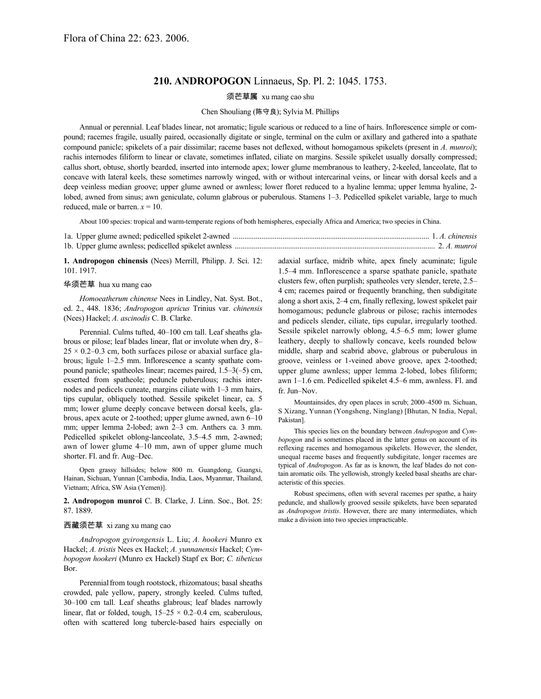## **210. ANDROPOGON** Linnaeus, Sp. Pl. 2: 1045. 1753.

须芒草属 xu mang cao shu

## Chen Shouliang (陈守良); Sylvia M. Phillips

Annual or perennial. Leaf blades linear, not aromatic; ligule scarious or reduced to a line of hairs. Inflorescence simple or compound; racemes fragile, usually paired, occasionally digitate or single, terminal on the culm or axillary and gathered into a spathate compound panicle; spikelets of a pair dissimilar; raceme bases not deflexed, without homogamous spikelets (present in *A. munroi*); rachis internodes filiform to linear or clavate, sometimes inflated, ciliate on margins. Sessile spikelet usually dorsally compressed; callus short, obtuse, shortly bearded, inserted into internode apex; lower glume membranous to leathery, 2-keeled, lanceolate, flat to concave with lateral keels, these sometimes narrowly winged, with or without intercarinal veins, or linear with dorsal keels and a deep veinless median groove; upper glume awned or awnless; lower floret reduced to a hyaline lemma; upper lemma hyaline, 2 lobed, awned from sinus; awn geniculate, column glabrous or puberulous. Stamens 1–3. Pedicelled spikelet variable, large to much reduced, male or barren.  $x = 10$ .

About 100 species: tropical and warm-temperate regions of both hemispheres, especially Africa and America; two species in China.

**1. Andropogon chinensis** (Nees) Merrill, Philipp. J. Sci. 12: 101. 1917.

## 华须芒草 hua xu mang cao

*Homoeatherum chinense* Nees in Lindley, Nat. Syst. Bot., ed. 2., 448. 1836; *Andropogon apricus* Trinius var. *chinensis* (Nees) Hackel; *A. ascinodis* C. B. Clarke.

Perennial. Culms tufted, 40–100 cm tall. Leaf sheaths glabrous or pilose; leaf blades linear, flat or involute when dry, 8–  $25 \times 0.2 - 0.3$  cm, both surfaces pilose or abaxial surface glabrous; ligule 1–2.5 mm. Inflorescence a scanty spathate compound panicle; spatheoles linear; racemes paired, 1.5–3(–5) cm, exserted from spatheole; peduncle puberulous; rachis internodes and pedicels cuneate, margins ciliate with 1–3 mm hairs, tips cupular, obliquely toothed. Sessile spikelet linear, ca. 5 mm; lower glume deeply concave between dorsal keels, glabrous, apex acute or 2-toothed; upper glume awned, awn 6–10 mm; upper lemma 2-lobed; awn 2–3 cm. Anthers ca. 3 mm. Pedicelled spikelet oblong-lanceolate, 3.5–4.5 mm, 2-awned; awn of lower glume 4–10 mm, awn of upper glume much shorter. Fl. and fr. Aug–Dec.

Open grassy hillsides; below 800 m. Guangdong, Guangxi, Hainan, Sichuan, Yunnan [Cambodia, India, Laos, Myanmar, Thailand, Vietnam; Africa, SW Asia (Yemen)].

**2. Andropogon munroi** C. B. Clarke, J. Linn. Soc., Bot. 25: 87. 1889.

## 西藏须芒草 xi zang xu mang cao

*Andropogon gyirongensis* L. Liu; *A. hookeri* Munro ex Hackel; *A. tristis* Nees ex Hackel; *A. yunnanensis* Hackel; *Cymbopogon hookeri* (Munro ex Hackel) Stapf ex Bor; *C. tibeticus* Bor.

Perennial from tough rootstock, rhizomatous; basal sheaths crowded, pale yellow, papery, strongly keeled. Culms tufted, 30–100 cm tall. Leaf sheaths glabrous; leaf blades narrowly linear, flat or folded, tough,  $15-25 \times 0.2-0.4$  cm, scaberulous, often with scattered long tubercle-based hairs especially on adaxial surface, midrib white, apex finely acuminate; ligule 1.5–4 mm. Inflorescence a sparse spathate panicle, spathate clusters few, often purplish; spatheoles very slender, terete, 2.5– 4 cm; racemes paired or frequently branching, then subdigitate along a short axis, 2–4 cm, finally reflexing, lowest spikelet pair homogamous; peduncle glabrous or pilose; rachis internodes and pedicels slender, ciliate, tips cupular, irregularly toothed. Sessile spikelet narrowly oblong, 4.5–6.5 mm; lower glume leathery, deeply to shallowly concave, keels rounded below middle, sharp and scabrid above, glabrous or puberulous in groove, veinless or 1-veined above groove, apex 2-toothed; upper glume awnless; upper lemma 2-lobed, lobes filiform; awn 1–1.6 cm. Pedicelled spikelet 4.5–6 mm, awnless. Fl. and fr. Jun–Nov.

Mountainsides, dry open places in scrub; 2000–4500 m. Sichuan, S Xizang, Yunnan (Yongsheng, Ninglang) [Bhutan, N India, Nepal, Pakistan].

This species lies on the boundary between *Andropogon* and *Cymbopogon* and is sometimes placed in the latter genus on account of its reflexing racemes and homogamous spikelets. However, the slender, unequal raceme bases and frequently subdigitate, longer racemes are typical of *Andropogon*. As far as is known, the leaf blades do not contain aromatic oils. The yellowish, strongly keeled basal sheaths are characteristic of this species.

Robust specimens, often with several racemes per spathe, a hairy peduncle, and shallowly grooved sessile spikelets, have been separated as *Andropogon tristis*. However, there are many intermediates, which make a division into two species impracticable.